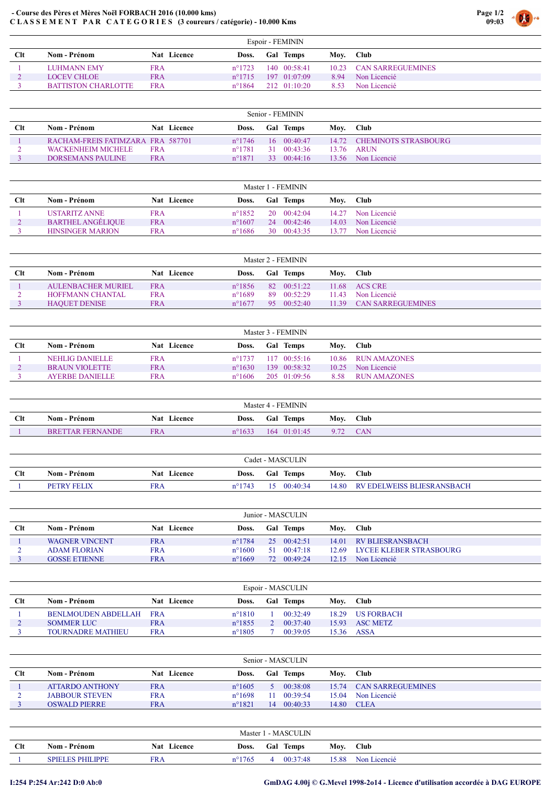## - Course des Pères et Mères Noël FORBACH 2016 (10.000 kms) C L A S S E M E N T P A R C A T E G O R I E S (3 coureurs / catégorie) - 10.000 Kms

|             | Espoir - FEMININ    |             |                 |  |                      |      |                         |  |  |  |  |
|-------------|---------------------|-------------|-----------------|--|----------------------|------|-------------------------|--|--|--|--|
| <b>C</b> lt | Nom - Prénom        | Nat Licence | Doss.           |  | <b>Gal Temps</b>     | Moy. | <b>Club</b>             |  |  |  |  |
|             | <b>LUHMANN EMY</b>  | <b>FRA</b>  | $n^{\circ}1723$ |  | $140 \quad 00:58:41$ |      | 10.23 CAN SARREGUEMINES |  |  |  |  |
|             | LOCEV CHLOE         | <b>FRA</b>  | $n^{\circ}1715$ |  | $197 \quad 01:07:09$ | 8.94 | Non Licencié            |  |  |  |  |
|             | BATTISTON CHARLOTTE | <b>FRA</b>  | $n^{\circ}1864$ |  | $212 \quad 01:10:20$ | 8.53 | Non Licencié            |  |  |  |  |

Page 1/2 09:03

| Senior - FEMININ |                                   |            |                    |                  |                 |                     |      |                            |  |
|------------------|-----------------------------------|------------|--------------------|------------------|-----------------|---------------------|------|----------------------------|--|
| $_{\rm Clt}$     | Nom - Prénom                      |            | <b>Nat</b> Licence | Doss.            |                 | <b>Gal Temps</b>    | Mov. | Club                       |  |
|                  | RACHAM-FREIS FATIMZARA FRA 587701 |            |                    | $n^{\circ}$ 1746 |                 | $16 \quad 00:40:47$ |      | 14.72 CHEMINOTS STRASBOURG |  |
|                  | WACKENHEIM MICHELE                | <b>FRA</b> |                    | $n^{\circ}1781$  | <b>31</b>       | 00:43:36            |      | 13.76 ARUN                 |  |
|                  | DORSEMANS PAULINE                 | <b>FRA</b> |                    | $n^{\circ}1871$  | 33 <sup>7</sup> | 00:44:16            |      | 13.56 Non Licencié         |  |

| Master 1 - FEMININ |                          |             |                  |  |                     |       |              |  |  |  |
|--------------------|--------------------------|-------------|------------------|--|---------------------|-------|--------------|--|--|--|
| Clt                | Nom - Prénom             | Nat Licence | Doss.            |  | <b>Gal Temps</b>    | Moy.  | <b>Club</b>  |  |  |  |
|                    | USTARITZ ANNE            | <b>FRA</b>  | $n^{\circ}1852$  |  | $20 \quad 00:42:04$ | 14.27 | Non Licencié |  |  |  |
|                    | <b>BARTHEL ANGELIQUE</b> | <b>FRA</b>  | $n^{\circ}1607$  |  | $24 \quad 00:42:46$ | 14.03 | Non Licencié |  |  |  |
|                    | <b>HINSINGER MARION</b>  | FRA         | $n^{\circ}$ 1686 |  | $30 \quad 00:43:35$ | 13.77 | Non Licencié |  |  |  |

| Master 2 - FEMININ |                      |                    |                 |     |                  |       |                          |  |  |  |
|--------------------|----------------------|--------------------|-----------------|-----|------------------|-------|--------------------------|--|--|--|
| Clt                | Nom - Prénom         | <b>Nat</b> Licence | Doss.           |     | <b>Gal Temps</b> | Mov.  | <b>Club</b>              |  |  |  |
|                    | AULENBACHER MURIEL   | <b>FRA</b>         | $n^{\circ}1856$ |     | 82 00:51:22      |       | $11.68$ ACS CRE          |  |  |  |
|                    | HOFFMANN CHANTAL     | <b>FRA</b>         | $n^{\circ}1689$ | 89. | 00:52:29         | 11.43 | Non Licencié             |  |  |  |
|                    | <b>HAOUET DENISE</b> | <b>FRA</b>         | $n^{\circ}1677$ | 95  | 00:52:40         | 11.39 | <b>CAN SARREGUEMINES</b> |  |  |  |

|     | Master 3 - FEMININ     |             |                 |                  |                      |       |                     |  |  |  |  |
|-----|------------------------|-------------|-----------------|------------------|----------------------|-------|---------------------|--|--|--|--|
| Clt | Nom - Prénom           | Nat Licence | Doss.           | <b>Gal Temps</b> |                      | Moy.  | <b>Club</b>         |  |  |  |  |
|     | NEHLIG DANIELLE        | FRA         | $n^{\circ}1737$ |                  | $117 \quad 00:55:16$ |       | 10.86 RUN AMAZONES  |  |  |  |  |
|     | <b>BRAUN VIOLETTE</b>  | <b>FRA</b>  | $n^{\circ}1630$ |                  | 139 00:58:32         | 10.25 | Non Licencié        |  |  |  |  |
|     | <b>AYERBE DANIELLE</b> | FRA         | $n^{\circ}1606$ |                  | $205 \quad 01:09:56$ | 8.58  | <b>RUN AMAZONES</b> |  |  |  |  |
|     |                        |             |                 |                  |                      |       |                     |  |  |  |  |

|     | Master 4 - FEMININ      |             |               |                     |      |             |  |  |  |
|-----|-------------------------|-------------|---------------|---------------------|------|-------------|--|--|--|
| Clt | Nom - Prénom            | Nat Licence | Doss.         | <b>Temps</b><br>Gal | Mov. | <b>Club</b> |  |  |  |
|     | <b>BRETTAR FERNANDE</b> | <b>FRA</b>  | $^{\circ}163$ | 164 01:01:45        |      | <b>CAN</b>  |  |  |  |

|             | Cadet - MASCULIN   |                    |                 |  |                  |       |                            |  |  |  |
|-------------|--------------------|--------------------|-----------------|--|------------------|-------|----------------------------|--|--|--|
| <b>C</b> lt | Nom - Prénom       | <b>Nat</b> Licence | Doss.           |  | <b>Gal Temps</b> | Moy.  | <b>Club</b>                |  |  |  |
|             | <b>PETRY FELIX</b> | FRA                | $n^{\circ}1743$ |  | 00:40:34         | 14.80 | RV EDELWEISS BLIESRANSBACH |  |  |  |

| Junior - MASCULIN |                       |             |                  |     |          |       |                         |  |  |  |  |
|-------------------|-----------------------|-------------|------------------|-----|----------|-------|-------------------------|--|--|--|--|
| Clt               | Nom - Prénom-         | Nat Licence | Doss.            | Gal | Temps    | Mov.  | <b>Club</b>             |  |  |  |  |
|                   | <b>WAGNER VINCENT</b> | <b>FRA</b>  | $n^{\circ}$ 1784 | 25  | 00:42:51 | 14.01 | RV BLJESRANSBACH        |  |  |  |  |
|                   | <b>ADAM FLORIAN</b>   | <b>FRA</b>  | $n^{\circ}1600$  | -51 | 00:47:18 | 12.69 | LYCEE KLEBER STRASBOURG |  |  |  |  |
|                   | <b>GOSSE ETIENNE</b>  | <b>FRA</b>  | $n^{\circ}1669$  | 72. | 00:49:24 | 12.15 | Non Licencié            |  |  |  |  |
|                   |                       |             |                  |     |          |       |                         |  |  |  |  |

|             | Espoir - MASCULIN        |             |                  |  |                  |       |             |  |  |  |  |
|-------------|--------------------------|-------------|------------------|--|------------------|-------|-------------|--|--|--|--|
| <b>C</b> lt | Nom - Prénom             | Nat Licence | Doss.            |  | <b>Gal</b> Temps | Mov.  | <b>Club</b> |  |  |  |  |
|             | BENLMOUDEN ABDELLAH FRA  |             | $n^{\circ}1810$  |  | 00:32:49         | 18.29 | US FORBACH  |  |  |  |  |
|             | <b>SOMMER LUC</b>        | <b>FRA</b>  | $n^{\circ}$ 1855 |  | 00:37:40         | 15.93 | ASC METZ    |  |  |  |  |
|             | <b>TOURNADRE MATHIEU</b> | <b>FRA</b>  | $n^{\circ}1805$  |  | 00:39:05         | 15.36 | <b>ASSA</b> |  |  |  |  |
|             |                          |             |                  |  |                  |       |             |  |  |  |  |

|            | Senior - MASCULIN      |             |                 |        |              |       |                         |  |  |  |  |  |
|------------|------------------------|-------------|-----------------|--------|--------------|-------|-------------------------|--|--|--|--|--|
| <b>Clt</b> | Nom - Prénom           | Nat Licence | Doss.           | Gal    | <b>Temps</b> | Mov.  | <b>Club</b>             |  |  |  |  |  |
|            | <b>ATTARDO ANTHONY</b> | <b>FRA</b>  | $n^{\circ}1605$ | $\sim$ | 00:38:08     |       | 15.74 CAN SARREGUEMINES |  |  |  |  |  |
|            | <b>JABBOUR STEVEN</b>  | <b>FRA</b>  | $n^{\circ}1698$ |        | 00:39:54     | 15.04 | Non Licencié            |  |  |  |  |  |
|            | <b>OSWALD PIERRE</b>   | <b>FRA</b>  | $n^{\circ}1821$ | 14     | 00:40:33     | 14.80 | <b>CLEA</b>             |  |  |  |  |  |
|            |                        |             |                 |        |              |       |                         |  |  |  |  |  |

|     | Master 1 - MASCULIN     |                    |                 |     |          |      |              |  |  |  |
|-----|-------------------------|--------------------|-----------------|-----|----------|------|--------------|--|--|--|
| Clt | Nom - Prénom            | <b>Nat Licence</b> | Doss.           | Gal | Temps    | Mov. | Club         |  |  |  |
|     | <b>SPIELES PHILIPPE</b> | <b>FRA</b>         | $n^{\circ}1765$ |     | 00:37:48 | 5.88 | Non Licencié |  |  |  |